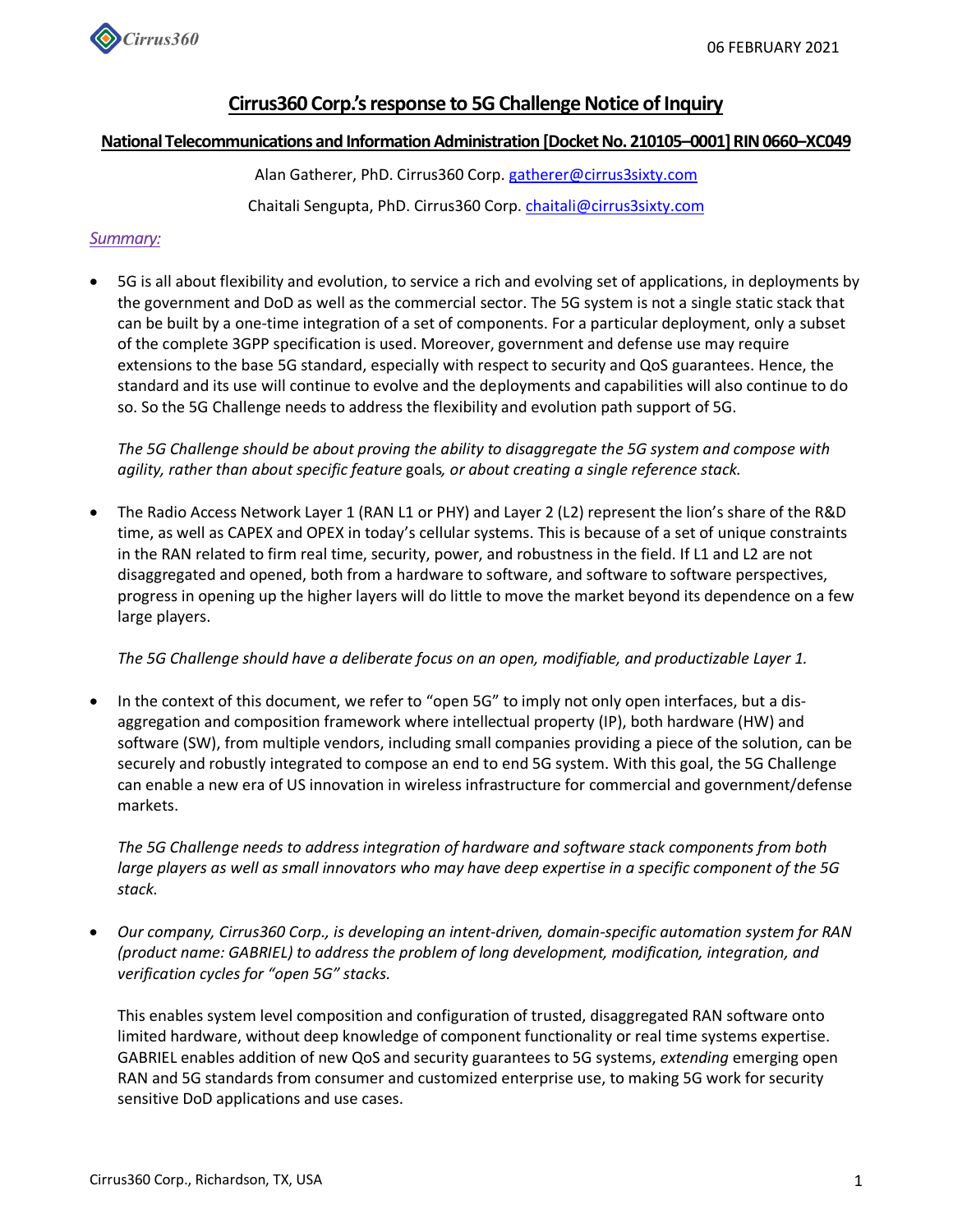

# **Cirrus360 Corp.'s response to 5G Challenge Notice of Inquiry**

### **National Telecommunications and Information Administration [Docket No. 210105–0001] RIN 0660–XC049**

Alan Gatherer, PhD. Cirrus360 Corp. gatherer@cirrus3sixty.com Chaitali Sengupta, PhD. Cirrus360 Corp. chaitali@cirrus3sixty.com

## *Summary:*

• 5G is all about flexibility and evolution, to service a rich and evolving set of applications, in deployments by the government and DoD as well as the commercial sector. The 5G system is not a single static stack that can be built by a one-time integration of a set of components. For a particular deployment, only a subset of the complete 3GPP specification is used. Moreover, government and defense use may require extensions to the base 5G standard, especially with respect to security and QoS guarantees. Hence, the standard and its use will continue to evolve and the deployments and capabilities will also continue to do so. So the 5G Challenge needs to address the flexibility and evolution path support of 5G.

*The 5G Challenge should be about proving the ability to disaggregate the 5G system and compose with agility, rather than about specific feature* goals*, or about creating a single reference stack.*

• The Radio Access Network Layer 1 (RAN L1 or PHY) and Layer 2 (L2) represent the lion's share of the R&D time, as well as CAPEX and OPEX in today's cellular systems. This is because of a set of unique constraints in the RAN related to firm real time, security, power, and robustness in the field. If L1 and L2 are not disaggregated and opened, both from a hardware to software, and software to software perspectives, progress in opening up the higher layers will do little to move the market beyond its dependence on a few large players.

*The 5G Challenge should have a deliberate focus on an open, modifiable, and productizable Layer 1.*

• In the context of this document, we refer to "open 5G" to imply not only open interfaces, but a disaggregation and composition framework where intellectual property (IP), both hardware (HW) and software (SW), from multiple vendors, including small companies providing a piece of the solution, can be securely and robustly integrated to compose an end to end 5G system. With this goal, the 5G Challenge can enable a new era of US innovation in wireless infrastructure for commercial and government/defense markets.

*The 5G Challenge needs to address integration of hardware and software stack components from both large players as well as small innovators who may have deep expertise in a specific component of the 5G stack.*

• *Our company, Cirrus360 Corp., is developing an intent-driven, domain-specific automation system for RAN (product name: GABRIEL) to address the problem of long development, modification, integration, and verification cycles for "open 5G" stacks.*

This enables system level composition and configuration of trusted, disaggregated RAN software onto limited hardware, without deep knowledge of component functionality or real time systems expertise. GABRIEL enables addition of new QoS and security guarantees to 5G systems, *extending* emerging open RAN and 5G standards from consumer and customized enterprise use, to making 5G work for security sensitive DoD applications and use cases.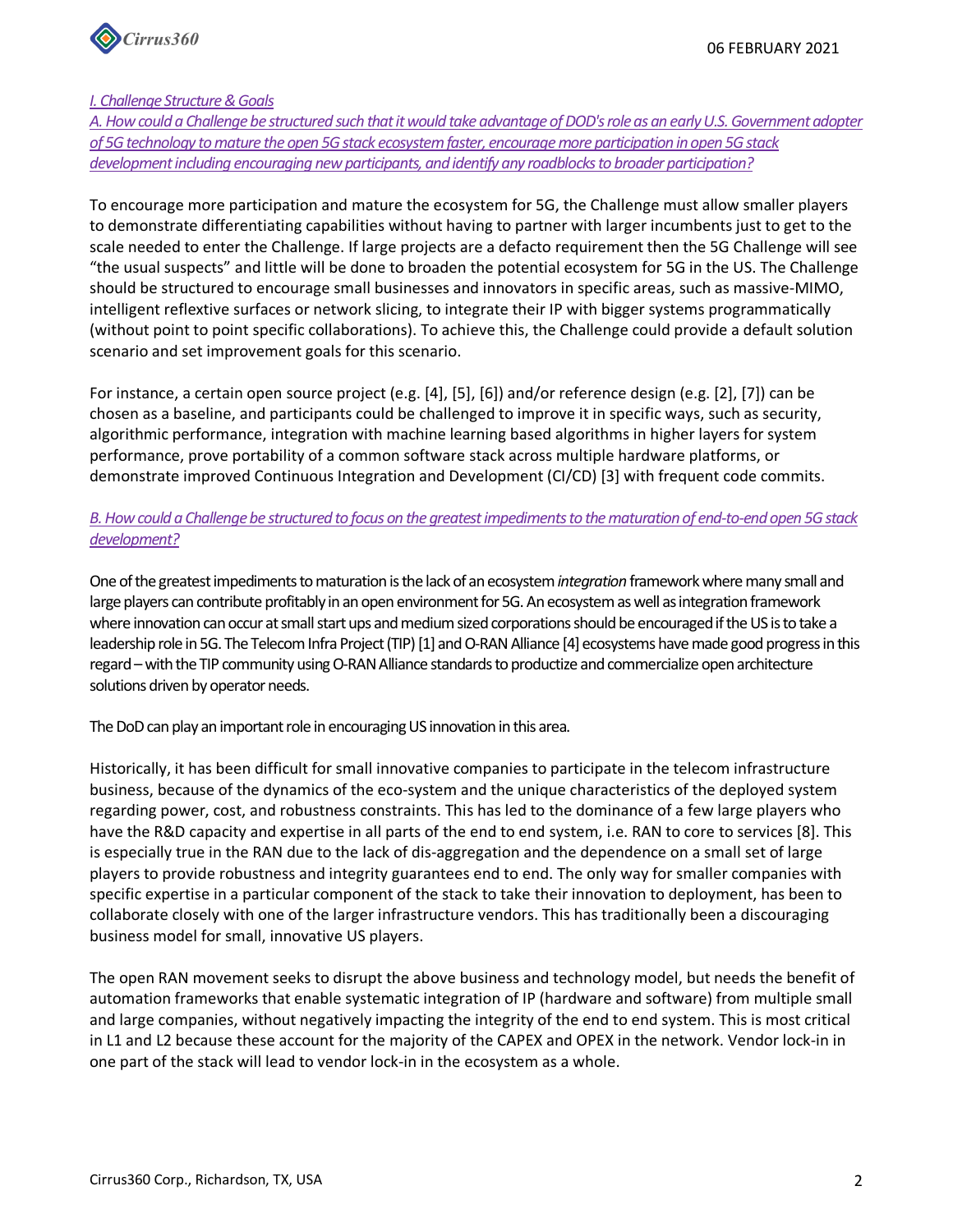

### *I. Challenge Structure & Goals*

*A. How could a Challenge be structured such that it would take advantage of DOD's role as an early U.S. Government adopter of 5G technology to mature the open 5G stack ecosystem faster, encourage more participation in open 5G stack development including encouraging new participants, and identify any roadblocks to broader participation?*

To encourage more participation and mature the ecosystem for 5G, the Challenge must allow smaller players to demonstrate differentiating capabilities without having to partner with larger incumbents just to get to the scale needed to enter the Challenge. If large projects are a defacto requirement then the 5G Challenge will see "the usual suspects" and little will be done to broaden the potential ecosystem for 5G in the US. The Challenge should be structured to encourage small businesses and innovators in specific areas, such as massive-MIMO, intelligent reflextive surfaces or network slicing, to integrate their IP with bigger systems programmatically (without point to point specific collaborations). To achieve this, the Challenge could provide a default solution scenario and set improvement goals for this scenario.

For instance, a certain open source project (e.g. [4], [5], [6]) and/or reference design (e.g. [2], [7]) can be chosen as a baseline, and participants could be challenged to improve it in specific ways, such as security, algorithmic performance, integration with machine learning based algorithms in higher layers for system performance, prove portability of a common software stack across multiple hardware platforms, or demonstrate improved Continuous Integration and Development (CI/CD) [3] with frequent code commits.

# *B. How could a Challenge be structured to focus on the greatest impediments to the maturation of end-to-end open 5G stack development?*

One of the greatest impediments to maturation is the lack of an ecosystem *integration* framework where many small and large players can contribute profitably in an open environment for 5G. An ecosystem as well as integration framework where innovation can occur at small start ups and medium sized corporations should be encouraged if the US is to take a leadership role in 5G. The Telecom Infra Project (TIP) [1] and O-RAN Alliance [4] ecosystems have made good progress in this regard –with the TIP community using O-RAN Alliance standards to productize and commercialize open architecture solutions driven by operator needs.

The DoD can play an important role in encouraging US innovation in this area.

Historically, it has been difficult for small innovative companies to participate in the telecom infrastructure business, because of the dynamics of the eco-system and the unique characteristics of the deployed system regarding power, cost, and robustness constraints. This has led to the dominance of a few large players who have the R&D capacity and expertise in all parts of the end to end system, i.e. RAN to core to services [8]. This is especially true in the RAN due to the lack of dis-aggregation and the dependence on a small set of large players to provide robustness and integrity guarantees end to end. The only way for smaller companies with specific expertise in a particular component of the stack to take their innovation to deployment, has been to collaborate closely with one of the larger infrastructure vendors. This has traditionally been a discouraging business model for small, innovative US players.

The open RAN movement seeks to disrupt the above business and technology model, but needs the benefit of automation frameworks that enable systematic integration of IP (hardware and software) from multiple small and large companies, without negatively impacting the integrity of the end to end system. This is most critical in L1 and L2 because these account for the majority of the CAPEX and OPEX in the network. Vendor lock-in in one part of the stack will lead to vendor lock-in in the ecosystem as a whole.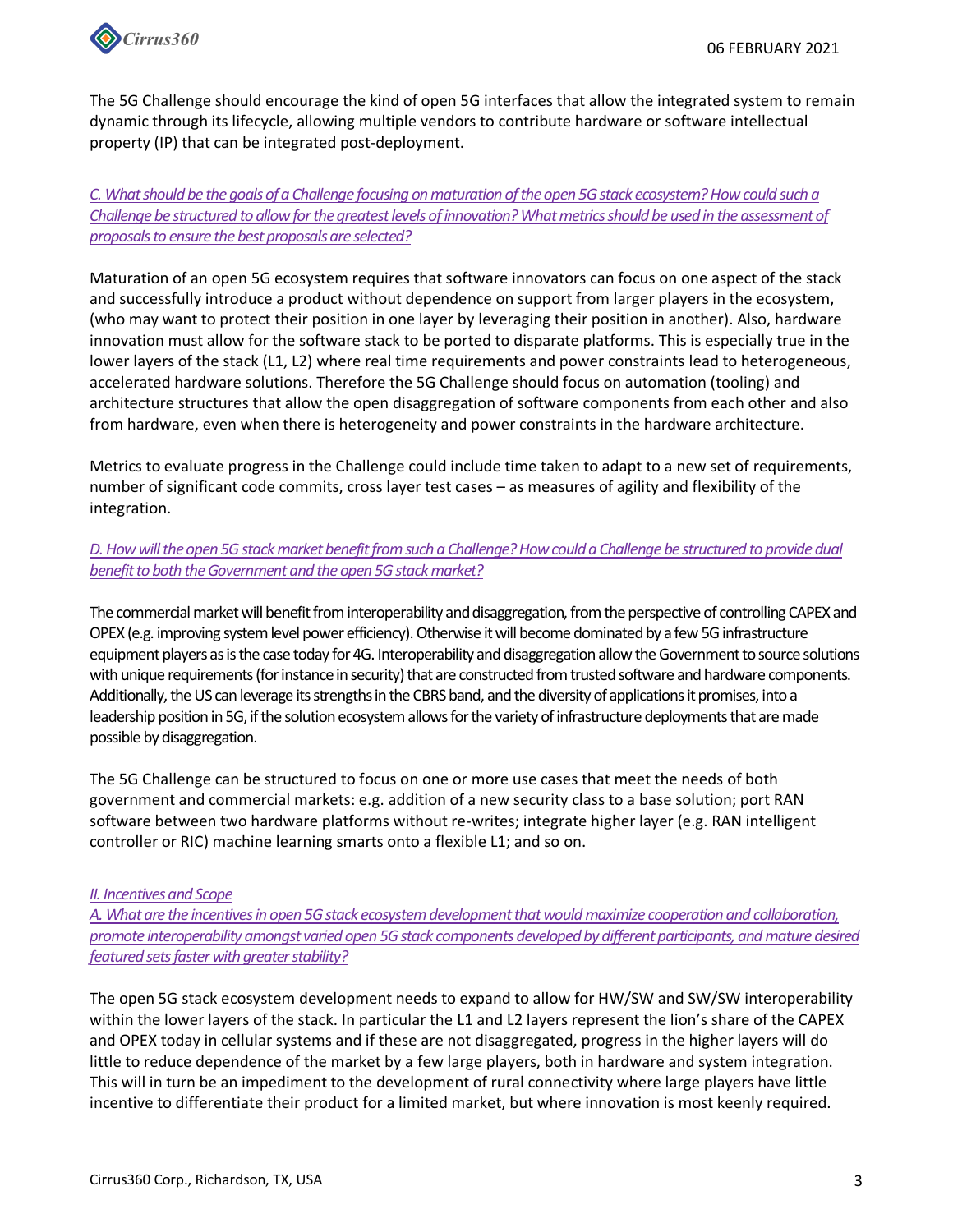

The 5G Challenge should encourage the kind of open 5G interfaces that allow the integrated system to remain dynamic through its lifecycle, allowing multiple vendors to contribute hardware or software intellectual property (IP) that can be integrated post-deployment.

*C. What should be the goals of a Challenge focusing on maturation of the open 5G stack ecosystem? How could such a Challenge be structured to allow for the greatest levels of innovation? What metrics should be used in the assessment of proposals to ensure the best proposals are selected?*

Maturation of an open 5G ecosystem requires that software innovators can focus on one aspect of the stack and successfully introduce a product without dependence on support from larger players in the ecosystem, (who may want to protect their position in one layer by leveraging their position in another). Also, hardware innovation must allow for the software stack to be ported to disparate platforms. This is especially true in the lower layers of the stack (L1, L2) where real time requirements and power constraints lead to heterogeneous, accelerated hardware solutions. Therefore the 5G Challenge should focus on automation (tooling) and architecture structures that allow the open disaggregation of software components from each other and also from hardware, even when there is heterogeneity and power constraints in the hardware architecture.

Metrics to evaluate progress in the Challenge could include time taken to adapt to a new set of requirements, number of significant code commits, cross layer test cases – as measures of agility and flexibility of the integration.

## *D. How will the open 5G stack market benefit from such a Challenge? How could a Challenge be structured to provide dual benefit to both the Government and the open 5G stack market?*

The commercial market will benefit from interoperability and disaggregation, from the perspective of controlling CAPEX and OPEX (e.g. improving system level power efficiency). Otherwise it will become dominated by a few 5G infrastructure equipment players as is the case today for 4G. Interoperability and disaggregation allow the Government to source solutions with unique requirements (for instance in security) that are constructed from trusted software and hardware components. Additionally, the US can leverage its strengths in the CBRS band, and the diversity of applications it promises, into a leadership position in 5G, if the solution ecosystem allows for the variety of infrastructure deployments that are made possible by disaggregation.

The 5G Challenge can be structured to focus on one or more use cases that meet the needs of both government and commercial markets: e.g. addition of a new security class to a base solution; port RAN software between two hardware platforms without re-writes; integrate higher layer (e.g. RAN intelligent controller or RIC) machine learning smarts onto a flexible L1; and so on.

### *II. Incentives and Scope*

*A. What are the incentives in open 5G stack ecosystem development that would maximize cooperation and collaboration, promote interoperability amongst varied open 5G stack components developed by different participants, and mature desired featured sets faster with greater stability?*

The open 5G stack ecosystem development needs to expand to allow for HW/SW and SW/SW interoperability within the lower layers of the stack. In particular the L1 and L2 layers represent the lion's share of the CAPEX and OPEX today in cellular systems and if these are not disaggregated, progress in the higher layers will do little to reduce dependence of the market by a few large players, both in hardware and system integration. This will in turn be an impediment to the development of rural connectivity where large players have little incentive to differentiate their product for a limited market, but where innovation is most keenly required.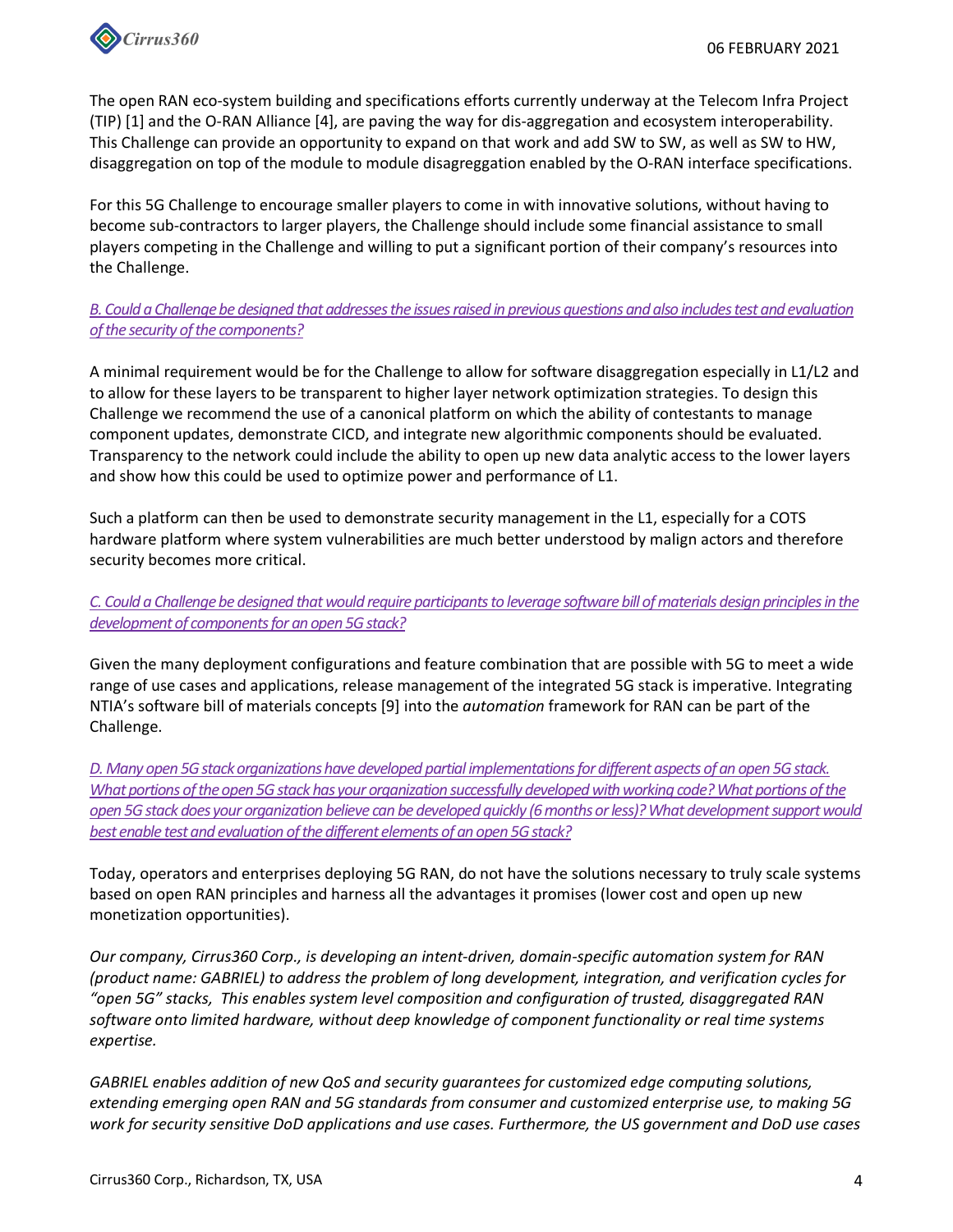

The open RAN eco-system building and specifications efforts currently underway at the Telecom Infra Project (TIP) [1] and the O-RAN Alliance [4], are paving the way for dis-aggregation and ecosystem interoperability. This Challenge can provide an opportunity to expand on that work and add SW to SW, as well as SW to HW, disaggregation on top of the module to module disagreggation enabled by the O-RAN interface specifications.

For this 5G Challenge to encourage smaller players to come in with innovative solutions, without having to become sub-contractors to larger players, the Challenge should include some financial assistance to small players competing in the Challenge and willing to put a significant portion of their company's resources into the Challenge.

# *B. Could a Challenge be designed that addresses the issues raised in previous questions and also includes test and evaluation of the security of the components?*

A minimal requirement would be for the Challenge to allow for software disaggregation especially in L1/L2 and to allow for these layers to be transparent to higher layer network optimization strategies. To design this Challenge we recommend the use of a canonical platform on which the ability of contestants to manage component updates, demonstrate CICD, and integrate new algorithmic components should be evaluated. Transparency to the network could include the ability to open up new data analytic access to the lower layers and show how this could be used to optimize power and performance of L1.

Such a platform can then be used to demonstrate security management in the L1, especially for a COTS hardware platform where system vulnerabilities are much better understood by malign actors and therefore security becomes more critical.

*C. Could a Challenge be designed that would require participants to leverage software bill of materials design principles in the development of components for an open 5G stack?*

Given the many deployment configurations and feature combination that are possible with 5G to meet a wide range of use cases and applications, release management of the integrated 5G stack is imperative. Integrating NTIA's software bill of materials concepts [9] into the *automation* framework for RAN can be part of the Challenge.

*D. Many open 5G stack organizations have developed partial implementations for different aspects of an open 5G stack. What portions of the open 5G stack has your organization successfully developed with working code? What portions of the open 5G stack does your organization believe can be developed quickly (6 months or less)? What development support would best enable test and evaluation of the different elements of an open 5G stack?*

Today, operators and enterprises deploying 5G RAN, do not have the solutions necessary to truly scale systems based on open RAN principles and harness all the advantages it promises (lower cost and open up new monetization opportunities).

*Our company, Cirrus360 Corp., is developing an intent-driven, domain-specific automation system for RAN (product name: GABRIEL) to address the problem of long development, integration, and verification cycles for "open 5G" stacks, This enables system level composition and configuration of trusted, disaggregated RAN software onto limited hardware, without deep knowledge of component functionality or real time systems expertise.* 

*GABRIEL enables addition of new QoS and security guarantees for customized edge computing solutions, extending emerging open RAN and 5G standards from consumer and customized enterprise use, to making 5G work for security sensitive DoD applications and use cases. Furthermore, the US government and DoD use cases*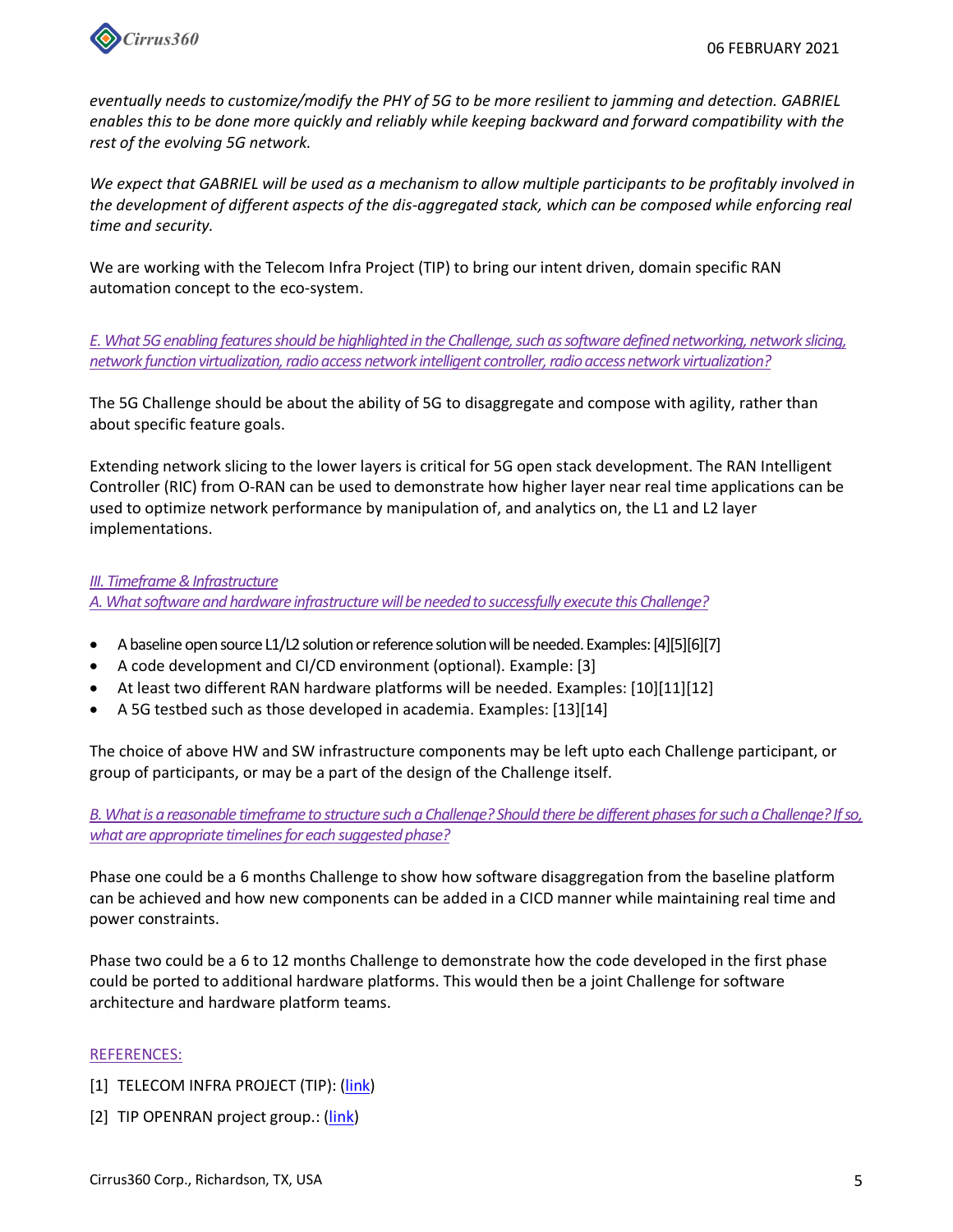

*eventually needs to customize/modify the PHY of 5G to be more resilient to jamming and detection. GABRIEL enables this to be done more quickly and reliably while keeping backward and forward compatibility with the rest of the evolving 5G network.*

*We expect that GABRIEL will be used as a mechanism to allow multiple participants to be profitably involved in the development of different aspects of the dis-aggregated stack, which can be composed while enforcing real time and security.*

We are working with the Telecom Infra Project (TIP) to bring our intent driven, domain specific RAN automation concept to the eco-system.

*E. What 5G enabling features should be highlighted in the Challenge, such as software defined networking, network slicing, network function virtualization, radio access network intelligent controller, radio access network virtualization?*

The 5G Challenge should be about the ability of 5G to disaggregate and compose with agility, rather than about specific feature goals.

Extending network slicing to the lower layers is critical for 5G open stack development. The RAN Intelligent Controller (RIC) from O-RAN can be used to demonstrate how higher layer near real time applications can be used to optimize network performance by manipulation of, and analytics on, the L1 and L2 layer implementations.

### *III. Timeframe & Infrastructure*

*A. What software and hardware infrastructure will be needed to successfully execute this Challenge?*

- A baseline open source L1/L2 solution or reference solution will be needed. Examples: [4][5][6][7]
- A code development and CI/CD environment (optional). Example: [3]
- At least two different RAN hardware platforms will be needed. Examples: [10][11][12]
- A 5G testbed such as those developed in academia. Examples: [13][14]

The choice of above HW and SW infrastructure components may be left upto each Challenge participant, or group of participants, or may be a part of the design of the Challenge itself.

*B. What is a reasonable timeframe to structure such a Challenge? Should there be different phases for such a Challenge? If so, what are appropriate timelines for each suggested phase?*

Phase one could be a 6 months Challenge to show how software disaggregation from the baseline platform can be achieved and how new components can be added in a CICD manner while maintaining real time and power constraints.

Phase two could be a 6 to 12 months Challenge to demonstrate how the code developed in the first phase could be ported to additional hardware platforms. This would then be a joint Challenge for software architecture and hardware platform teams.

### REFERENCES:

- [1] TELECOM INFRA PROJECT (TIP): (link)
- [2] TIP OPENRAN project group.: (link)